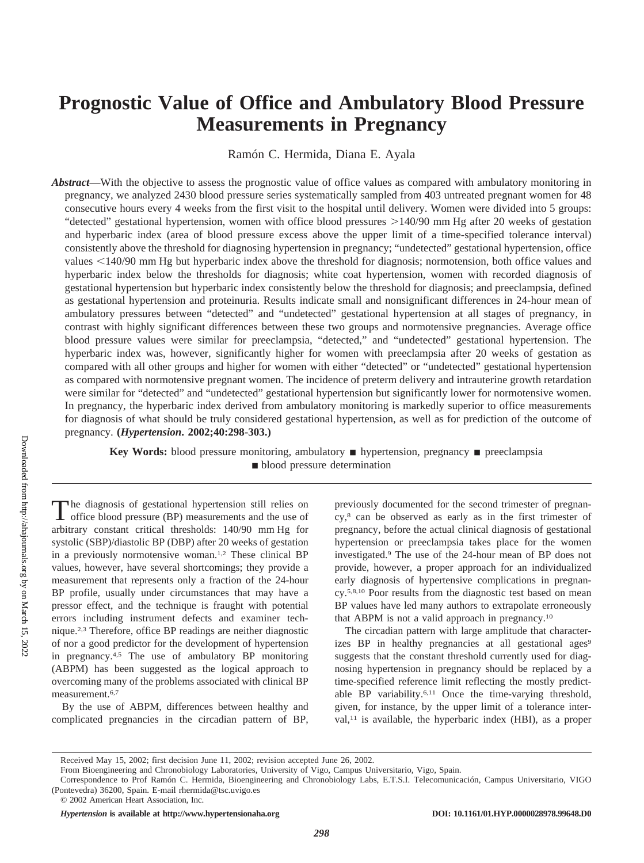# **Prognostic Value of Office and Ambulatory Blood Pressure Measurements in Pregnancy**

Ramón C. Hermida, Diana E. Ayala

*Abstract*—With the objective to assess the prognostic value of office values as compared with ambulatory monitoring in pregnancy, we analyzed 2430 blood pressure series systematically sampled from 403 untreated pregnant women for 48 consecutive hours every 4 weeks from the first visit to the hospital until delivery. Women were divided into 5 groups: "detected" gestational hypertension, women with office blood pressures  $>140/90$  mm Hg after 20 weeks of gestation and hyperbaric index (area of blood pressure excess above the upper limit of a time-specified tolerance interval) consistently above the threshold for diagnosing hypertension in pregnancy; "undetected" gestational hypertension, office values <140/90 mm Hg but hyperbaric index above the threshold for diagnosis; normotension, both office values and hyperbaric index below the thresholds for diagnosis; white coat hypertension, women with recorded diagnosis of gestational hypertension but hyperbaric index consistently below the threshold for diagnosis; and preeclampsia, defined as gestational hypertension and proteinuria. Results indicate small and nonsignificant differences in 24-hour mean of ambulatory pressures between "detected" and "undetected" gestational hypertension at all stages of pregnancy, in contrast with highly significant differences between these two groups and normotensive pregnancies. Average office blood pressure values were similar for preeclampsia, "detected," and "undetected" gestational hypertension. The hyperbaric index was, however, significantly higher for women with preeclampsia after 20 weeks of gestation as compared with all other groups and higher for women with either "detected" or "undetected" gestational hypertension as compared with normotensive pregnant women. The incidence of preterm delivery and intrauterine growth retardation were similar for "detected" and "undetected" gestational hypertension but significantly lower for normotensive women. In pregnancy, the hyperbaric index derived from ambulatory monitoring is markedly superior to office measurements for diagnosis of what should be truly considered gestational hypertension, as well as for prediction of the outcome of pregnancy. **(***Hypertension***. 2002;40:298-303.)**

> **Key Words:** blood pressure monitoring, ambulatory ■ hypertension, pregnancy ■ preeclampsia **blood** pressure determination

The diagnosis of gestational hypertension still relies on office blood pressure (BP) measurements and the use of arbitrary constant critical thresholds: 140/90 mm Hg for systolic (SBP)/diastolic BP (DBP) after 20 weeks of gestation in a previously normotensive woman.1,2 These clinical BP values, however, have several shortcomings; they provide a measurement that represents only a fraction of the 24-hour BP profile, usually under circumstances that may have a pressor effect, and the technique is fraught with potential errors including instrument defects and examiner technique.2,3 Therefore, office BP readings are neither diagnostic of nor a good predictor for the development of hypertension in pregnancy.4,5 The use of ambulatory BP monitoring (ABPM) has been suggested as the logical approach to overcoming many of the problems associated with clinical BP measurement.6,7

By the use of ABPM, differences between healthy and complicated pregnancies in the circadian pattern of BP,

previously documented for the second trimester of pregnancy,8 can be observed as early as in the first trimester of pregnancy, before the actual clinical diagnosis of gestational hypertension or preeclampsia takes place for the women investigated.9 The use of the 24-hour mean of BP does not provide, however, a proper approach for an individualized early diagnosis of hypertensive complications in pregnancy.5,8,10 Poor results from the diagnostic test based on mean BP values have led many authors to extrapolate erroneously that ABPM is not a valid approach in pregnancy.10

The circadian pattern with large amplitude that characterizes BP in healthy pregnancies at all gestational ages<sup>9</sup> suggests that the constant threshold currently used for diagnosing hypertension in pregnancy should be replaced by a time-specified reference limit reflecting the mostly predictable BP variability.6,11 Once the time-varying threshold, given, for instance, by the upper limit of a tolerance inter $val<sub>11</sub>$  is available, the hyperbaric index (HBI), as a proper

Received May 15, 2002; first decision June 11, 2002; revision accepted June 26, 2002.

From Bioengineering and Chronobiology Laboratories, University of Vigo, Campus Universitario, Vigo, Spain.

Correspondence to Prof Ramón C. Hermida, Bioengineering and Chronobiology Labs, E.T.S.I. Telecomunicación, Campus Universitario, VIGO (Pontevedra) 36200, Spain. E-mail rhermida@tsc.uvigo.es

<sup>© 2002</sup> American Heart Association, Inc.

*Hypertension* is available at http://www.hypertensionaha.org DOI: 10.1161/01.HYP.0000028978.99648.D0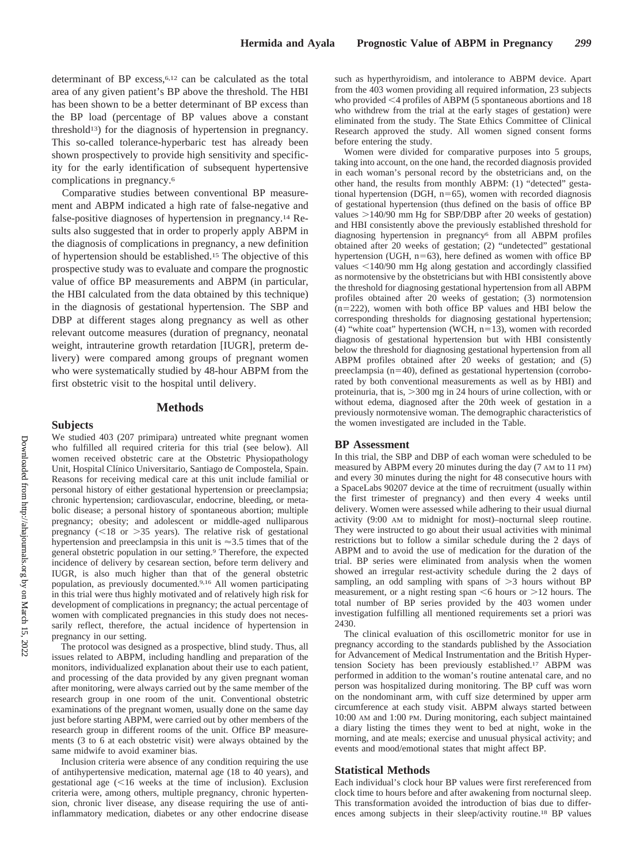determinant of BP excess,6,12 can be calculated as the total area of any given patient's BP above the threshold. The HBI has been shown to be a better determinant of BP excess than the BP load (percentage of BP values above a constant threshold<sup>13</sup>) for the diagnosis of hypertension in pregnancy. This so-called tolerance-hyperbaric test has already been shown prospectively to provide high sensitivity and specificity for the early identification of subsequent hypertensive complications in pregnancy.6

Comparative studies between conventional BP measurement and ABPM indicated a high rate of false-negative and false-positive diagnoses of hypertension in pregnancy.14 Results also suggested that in order to properly apply ABPM in the diagnosis of complications in pregnancy, a new definition of hypertension should be established.15 The objective of this prospective study was to evaluate and compare the prognostic value of office BP measurements and ABPM (in particular, the HBI calculated from the data obtained by this technique) in the diagnosis of gestational hypertension. The SBP and DBP at different stages along pregnancy as well as other relevant outcome measures (duration of pregnancy, neonatal weight, intrauterine growth retardation [IUGR], preterm delivery) were compared among groups of pregnant women who were systematically studied by 48-hour ABPM from the first obstetric visit to the hospital until delivery.

## **Methods**

## **Subjects**

We studied 403 (207 primipara) untreated white pregnant women who fulfilled all required criteria for this trial (see below). All women received obstetric care at the Obstetric Physiopathology Unit, Hospital Clínico Universitario, Santiago de Compostela, Spain. Reasons for receiving medical care at this unit include familial or personal history of either gestational hypertension or preeclampsia; chronic hypertension; cardiovascular, endocrine, bleeding, or metabolic disease; a personal history of spontaneous abortion; multiple pregnancy; obesity; and adolescent or middle-aged nulliparous pregnancy  $(< 18$  or  $> 35$  years). The relative risk of gestational hypertension and preeclampsia in this unit is  $\approx 3.5$  times that of the general obstetric population in our setting.9 Therefore, the expected incidence of delivery by cesarean section, before term delivery and IUGR, is also much higher than that of the general obstetric population, as previously documented.9,16 All women participating in this trial were thus highly motivated and of relatively high risk for development of complications in pregnancy; the actual percentage of women with complicated pregnancies in this study does not necessarily reflect, therefore, the actual incidence of hypertension in pregnancy in our setting.

The protocol was designed as a prospective, blind study. Thus, all issues related to ABPM, including handling and preparation of the monitors, individualized explanation about their use to each patient, and processing of the data provided by any given pregnant woman after monitoring, were always carried out by the same member of the research group in one room of the unit. Conventional obstetric examinations of the pregnant women, usually done on the same day just before starting ABPM, were carried out by other members of the research group in different rooms of the unit. Office BP measurements (3 to 6 at each obstetric visit) were always obtained by the same midwife to avoid examiner bias.

Inclusion criteria were absence of any condition requiring the use of antihypertensive medication, maternal age (18 to 40 years), and gestational age  $\leq 16$  weeks at the time of inclusion). Exclusion criteria were, among others, multiple pregnancy, chronic hypertension, chronic liver disease, any disease requiring the use of antiinflammatory medication, diabetes or any other endocrine disease

such as hyperthyroidism, and intolerance to ABPM device. Apart from the 403 women providing all required information, 23 subjects who provided <4 profiles of ABPM (5 spontaneous abortions and 18 who withdrew from the trial at the early stages of gestation) were eliminated from the study. The State Ethics Committee of Clinical Research approved the study. All women signed consent forms before entering the study.

Women were divided for comparative purposes into 5 groups, taking into account, on the one hand, the recorded diagnosis provided in each woman's personal record by the obstetricians and, on the other hand, the results from monthly ABPM: (1) "detected" gestational hypertension (DGH,  $n=65$ ), women with recorded diagnosis of gestational hypertension (thus defined on the basis of office BP values  $>140/90$  mm Hg for SBP/DBP after 20 weeks of gestation) and HBI consistently above the previously established threshold for diagnosing hypertension in pregnancy<sup>6</sup> from all ABPM profiles obtained after 20 weeks of gestation; (2) "undetected" gestational hypertension (UGH,  $n=63$ ), here defined as women with office BP values <140/90 mm Hg along gestation and accordingly classified as normotensive by the obstetricians but with HBI consistently above the threshold for diagnosing gestational hypertension from all ABPM profiles obtained after 20 weeks of gestation; (3) normotension  $(n=222)$ , women with both office BP values and HBI below the corresponding thresholds for diagnosing gestational hypertension; (4) "white coat" hypertension (WCH,  $n=13$ ), women with recorded diagnosis of gestational hypertension but with HBI consistently below the threshold for diagnosing gestational hypertension from all ABPM profiles obtained after 20 weeks of gestation; and (5) preeclampsia  $(n=40)$ , defined as gestational hypertension (corroborated by both conventional measurements as well as by HBI) and proteinuria, that is, 300 mg in 24 hours of urine collection, with or without edema, diagnosed after the 20th week of gestation in a previously normotensive woman. The demographic characteristics of the women investigated are included in the Table.

#### **BP Assessment**

In this trial, the SBP and DBP of each woman were scheduled to be measured by ABPM every 20 minutes during the day (7 AM to 11 PM) and every 30 minutes during the night for 48 consecutive hours with a SpaceLabs 90207 device at the time of recruitment (usually within the first trimester of pregnancy) and then every 4 weeks until delivery. Women were assessed while adhering to their usual diurnal activity (9:00 AM to midnight for most)–nocturnal sleep routine. They were instructed to go about their usual activities with minimal restrictions but to follow a similar schedule during the 2 days of ABPM and to avoid the use of medication for the duration of the trial. BP series were eliminated from analysis when the women showed an irregular rest-activity schedule during the 2 days of sampling, an odd sampling with spans of  $>3$  hours without BP measurement, or a night resting span  $\leq 6$  hours or  $> 12$  hours. The total number of BP series provided by the 403 women under investigation fulfilling all mentioned requirements set a priori was 2430.

The clinical evaluation of this oscillometric monitor for use in pregnancy according to the standards published by the Association for Advancement of Medical Instrumentation and the British Hypertension Society has been previously established.17 ABPM was performed in addition to the woman's routine antenatal care, and no person was hospitalized during monitoring. The BP cuff was worn on the nondominant arm, with cuff size determined by upper arm circumference at each study visit. ABPM always started between 10:00 AM and 1:00 PM. During monitoring, each subject maintained a diary listing the times they went to bed at night, woke in the morning, and ate meals; exercise and unusual physical activity; and events and mood/emotional states that might affect BP.

#### **Statistical Methods**

Each individual's clock hour BP values were first rereferenced from clock time to hours before and after awakening from nocturnal sleep. This transformation avoided the introduction of bias due to differences among subjects in their sleep/activity routine.18 BP values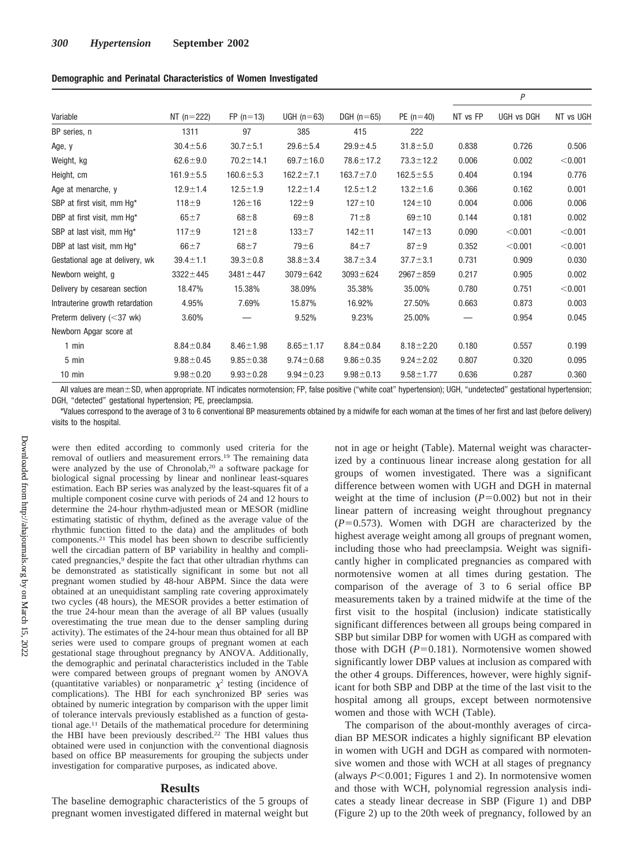| Demographic and Perinatal Characteristics of Women Investigated |  |  |  |
|-----------------------------------------------------------------|--|--|--|
|-----------------------------------------------------------------|--|--|--|

| Variable                        | NT $(n=222)$    | $FP (n=13)$     | UGH $(n=63)$    | DGH $(n=65)$    | $PE (n=40)$     | P        |            |           |
|---------------------------------|-----------------|-----------------|-----------------|-----------------|-----------------|----------|------------|-----------|
|                                 |                 |                 |                 |                 |                 | NT vs FP | UGH vs DGH | NT vs UGH |
| BP series, n                    | 1311            | 97              | 385             | 415             | 222             |          |            |           |
| Age, y                          | $30.4 \pm 5.6$  | $30.7 \pm 5.1$  | $29.6 \pm 5.4$  | $29.9 + 4.5$    | $31.8 + 5.0$    | 0.838    | 0.726      | 0.506     |
| Weight, kg                      | $62.6 + 9.0$    | $70.2 \pm 14.1$ | $69.7 \pm 16.0$ | $78.6 \pm 17.2$ | $73.3 \pm 12.2$ | 0.006    | 0.002      | < 0.001   |
| Height, cm                      | $161.9 \pm 5.5$ | $160.6 \pm 5.3$ | $162.2 \pm 7.1$ | $163.7 \pm 7.0$ | $162.5 \pm 5.5$ | 0.404    | 0.194      | 0.776     |
| Age at menarche, y              | $12.9 \pm 1.4$  | $12.5 \pm 1.9$  | $12.2 \pm 1.4$  | $12.5 \pm 1.2$  | $13.2 \pm 1.6$  | 0.366    | 0.162      | 0.001     |
| SBP at first visit, mm Hg*      | $118 + 9$       | $126 + 16$      | $122 + 9$       | $127 + 10$      | $124 + 10$      | 0.004    | 0.006      | 0.006     |
| DBP at first visit, mm Hq*      | $65 + 7$        | $68\pm8$        | $69\pm8$        | $71 \pm 8$      | $69 + 10$       | 0.144    | 0.181      | 0.002     |
| SBP at last visit, mm Hg*       | $117 + 9$       | $121 \pm 8$     | $133 + 7$       | $142 + 11$      | $147 + 13$      | 0.090    | < 0.001    | < 0.001   |
| DBP at last visit, mm Hg*       | $66 \pm 7$      | $68 \pm 7$      | $79\pm 6$       | $84+7$          | $87 + 9$        | 0.352    | < 0.001    | < 0.001   |
| Gestational age at delivery, wk | $39.4 \pm 1.1$  | $39.3 \pm 0.8$  | $38.8 \pm 3.4$  | $38.7 \pm 3.4$  | $37.7 \pm 3.1$  | 0.731    | 0.909      | 0.030     |
| Newborn weight, g               | $3322 \pm 445$  | $3481 \pm 447$  | $3079 + 642$    | $3093 + 624$    | $2967 + 859$    | 0.217    | 0.905      | 0.002     |
| Delivery by cesarean section    | 18.47%          | 15.38%          | 38.09%          | 35.38%          | 35.00%          | 0.780    | 0.751      | < 0.001   |
| Intrauterine growth retardation | 4.95%           | 7.69%           | 15.87%          | 16.92%          | 27.50%          | 0.663    | 0.873      | 0.003     |
| Preterm delivery $(<$ 37 wk)    | 3.60%           |                 | 9.52%           | 9.23%           | 25.00%          |          | 0.954      | 0.045     |
| Newborn Apgar score at          |                 |                 |                 |                 |                 |          |            |           |
| $1$ min                         | $8.84 \pm 0.84$ | $8.46 \pm 1.98$ | $8.65 \pm 1.17$ | $8.84 \pm 0.84$ | $8.18 \pm 2.20$ | 0.180    | 0.557      | 0.199     |
| 5 min                           | $9.88 \pm 0.45$ | $9.85 \pm 0.38$ | $9.74 \pm 0.68$ | $9.86 \pm 0.35$ | $9.24 \pm 2.02$ | 0.807    | 0.320      | 0.095     |
| $10 \text{ min}$                | $9.98 \pm 0.20$ | $9.93 \pm 0.28$ | $9.94 \pm 0.23$ | $9.98 \pm 0.13$ | $9.58 \pm 1.77$ | 0.636    | 0.287      | 0.360     |

All values are mean±SD, when appropriate. NT indicates normotension; FP, false positive ("white coat" hypertension); UGH, "undetected" gestational hypertension; DGH, "detected" gestational hypertension; PE, preeclampsia.

\*Values correspond to the average of 3 to 6 conventional BP measurements obtained by a midwife for each woman at the times of her first and last (before delivery) visits to the hospital.

were then edited according to commonly used criteria for the removal of outliers and measurement errors.19 The remaining data were analyzed by the use of Chronolab,20 a software package for biological signal processing by linear and nonlinear least-squares estimation. Each BP series was analyzed by the least-squares fit of a multiple component cosine curve with periods of 24 and 12 hours to determine the 24-hour rhythm-adjusted mean or MESOR (midline estimating statistic of rhythm, defined as the average value of the rhythmic function fitted to the data) and the amplitudes of both components.21 This model has been shown to describe sufficiently well the circadian pattern of BP variability in healthy and complicated pregnancies,<sup>9</sup> despite the fact that other ultradian rhythms can be demonstrated as statistically significant in some but not all pregnant women studied by 48-hour ABPM. Since the data were obtained at an unequidistant sampling rate covering approximately two cycles (48 hours), the MESOR provides a better estimation of the true 24-hour mean than the average of all BP values (usually overestimating the true mean due to the denser sampling during activity). The estimates of the 24-hour mean thus obtained for all BP series were used to compare groups of pregnant women at each gestational stage throughout pregnancy by ANOVA. Additionally, the demographic and perinatal characteristics included in the Table were compared between groups of pregnant women by ANOVA (quantitative variables) or nonparametric  $\chi^2$  testing (incidence of complications). The HBI for each synchronized BP series was obtained by numeric integration by comparison with the upper limit of tolerance intervals previously established as a function of gestational age.11 Details of the mathematical procedure for determining the HBI have been previously described.22 The HBI values thus obtained were used in conjunction with the conventional diagnosis based on office BP measurements for grouping the subjects under investigation for comparative purposes, as indicated above.

# **Results**

The baseline demographic characteristics of the 5 groups of pregnant women investigated differed in maternal weight but not in age or height (Table). Maternal weight was characterized by a continuous linear increase along gestation for all groups of women investigated. There was a significant difference between women with UGH and DGH in maternal weight at the time of inclusion  $(P=0.002)$  but not in their linear pattern of increasing weight throughout pregnancy  $(P=0.573)$ . Women with DGH are characterized by the highest average weight among all groups of pregnant women, including those who had preeclampsia. Weight was significantly higher in complicated pregnancies as compared with normotensive women at all times during gestation. The comparison of the average of 3 to 6 serial office BP measurements taken by a trained midwife at the time of the first visit to the hospital (inclusion) indicate statistically significant differences between all groups being compared in SBP but similar DBP for women with UGH as compared with those with DGH  $(P=0.181)$ . Normotensive women showed significantly lower DBP values at inclusion as compared with the other 4 groups. Differences, however, were highly significant for both SBP and DBP at the time of the last visit to the hospital among all groups, except between normotensive women and those with WCH (Table).

The comparison of the about-monthly averages of circadian BP MESOR indicates a highly significant BP elevation in women with UGH and DGH as compared with normotensive women and those with WCH at all stages of pregnancy (always  $P \le 0.001$ ; Figures 1 and 2). In normotensive women and those with WCH, polynomial regression analysis indicates a steady linear decrease in SBP (Figure 1) and DBP (Figure 2) up to the 20th week of pregnancy, followed by an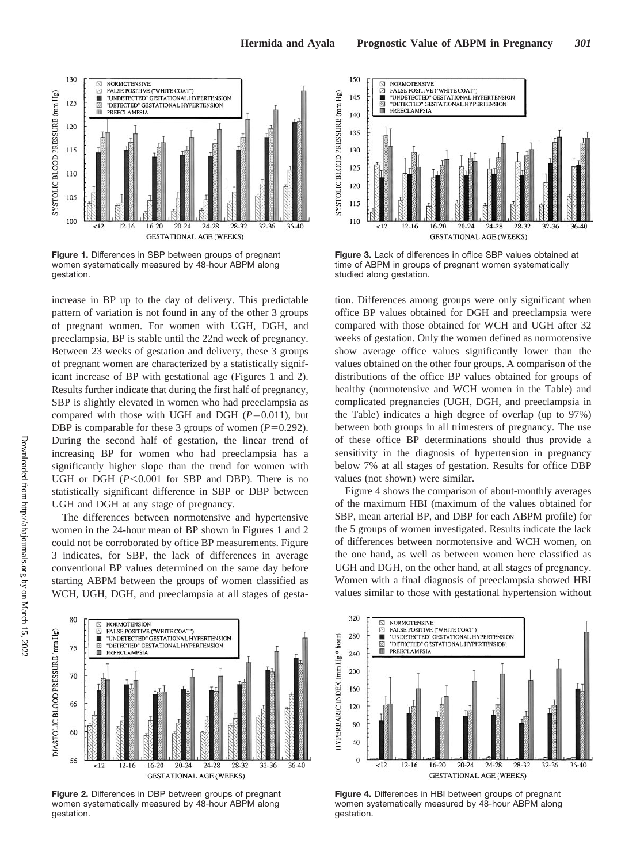

**Figure 1.** Differences in SBP between groups of pregnant women systematically measured by 48-hour ABPM along gestation.

increase in BP up to the day of delivery. This predictable pattern of variation is not found in any of the other 3 groups of pregnant women. For women with UGH, DGH, and preeclampsia, BP is stable until the 22nd week of pregnancy. Between 23 weeks of gestation and delivery, these 3 groups of pregnant women are characterized by a statistically significant increase of BP with gestational age (Figures 1 and 2). Results further indicate that during the first half of pregnancy, SBP is slightly elevated in women who had preeclampsia as compared with those with UGH and DGH  $(P=0.011)$ , but DBP is comparable for these 3 groups of women  $(P=0.292)$ . During the second half of gestation, the linear trend of increasing BP for women who had preeclampsia has a significantly higher slope than the trend for women with UGH or DGH  $(P<0.001$  for SBP and DBP). There is no statistically significant difference in SBP or DBP between UGH and DGH at any stage of pregnancy.

The differences between normotensive and hypertensive women in the 24-hour mean of BP shown in Figures 1 and 2 could not be corroborated by office BP measurements. Figure 3 indicates, for SBP, the lack of differences in average conventional BP values determined on the same day before starting ABPM between the groups of women classified as WCH, UGH, DGH, and preeclampsia at all stages of gesta-



**Figure 2.** Differences in DBP between groups of pregnant women systematically measured by 48-hour ABPM along gestation.



**Figure 3.** Lack of differences in office SBP values obtained at time of ABPM in groups of pregnant women systematically studied along gestation.

tion. Differences among groups were only significant when office BP values obtained for DGH and preeclampsia were compared with those obtained for WCH and UGH after 32 weeks of gestation. Only the women defined as normotensive show average office values significantly lower than the values obtained on the other four groups. A comparison of the distributions of the office BP values obtained for groups of healthy (normotensive and WCH women in the Table) and complicated pregnancies (UGH, DGH, and preeclampsia in the Table) indicates a high degree of overlap (up to 97%) between both groups in all trimesters of pregnancy. The use of these office BP determinations should thus provide a sensitivity in the diagnosis of hypertension in pregnancy below 7% at all stages of gestation. Results for office DBP values (not shown) were similar.

Figure 4 shows the comparison of about-monthly averages of the maximum HBI (maximum of the values obtained for SBP, mean arterial BP, and DBP for each ABPM profile) for the 5 groups of women investigated. Results indicate the lack of differences between normotensive and WCH women, on the one hand, as well as between women here classified as UGH and DGH, on the other hand, at all stages of pregnancy. Women with a final diagnosis of preeclampsia showed HBI values similar to those with gestational hypertension without



**Figure 4.** Differences in HBI between groups of pregnant women systematically measured by 48-hour ABPM along gestation.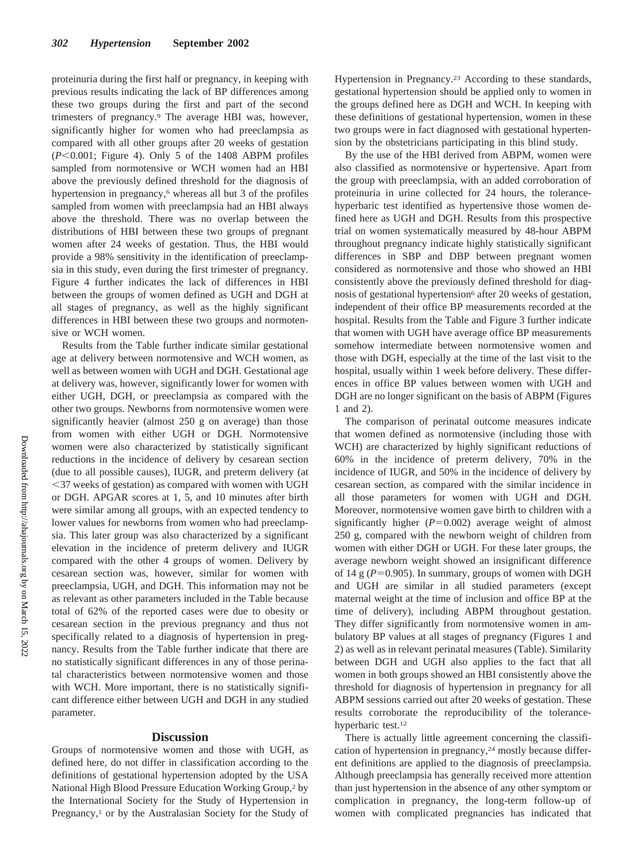proteinuria during the first half or pregnancy, in keeping with previous results indicating the lack of BP differences among these two groups during the first and part of the second trimesters of pregnancy.9 The average HBI was, however, significantly higher for women who had preeclampsia as compared with all other groups after 20 weeks of gestation (*P*-0.001; Figure 4). Only 5 of the 1408 ABPM profiles sampled from normotensive or WCH women had an HBI above the previously defined threshold for the diagnosis of hypertension in pregnancy,<sup>6</sup> whereas all but 3 of the profiles sampled from women with preeclampsia had an HBI always above the threshold. There was no overlap between the distributions of HBI between these two groups of pregnant women after 24 weeks of gestation. Thus, the HBI would provide a 98% sensitivity in the identification of preeclampsia in this study, even during the first trimester of pregnancy. Figure 4 further indicates the lack of differences in HBI between the groups of women defined as UGH and DGH at all stages of pregnancy, as well as the highly significant differences in HBI between these two groups and normotensive or WCH women.

Results from the Table further indicate similar gestational age at delivery between normotensive and WCH women, as well as between women with UGH and DGH. Gestational age at delivery was, however, significantly lower for women with either UGH, DGH, or preeclampsia as compared with the other two groups. Newborns from normotensive women were significantly heavier (almost 250 g on average) than those from women with either UGH or DGH. Normotensive women were also characterized by statistically significant reductions in the incidence of delivery by cesarean section (due to all possible causes), IUGR, and preterm delivery (at -37 weeks of gestation) as compared with women with UGH or DGH. APGAR scores at 1, 5, and 10 minutes after birth were similar among all groups, with an expected tendency to lower values for newborns from women who had preeclampsia. This later group was also characterized by a significant elevation in the incidence of preterm delivery and IUGR compared with the other 4 groups of women. Delivery by cesarean section was, however, similar for women with preeclampsia, UGH, and DGH. This information may not be as relevant as other parameters included in the Table because total of 62% of the reported cases were due to obesity or cesarean section in the previous pregnancy and thus not specifically related to a diagnosis of hypertension in pregnancy. Results from the Table further indicate that there are no statistically significant differences in any of those perinatal characteristics between normotensive women and those with WCH. More important, there is no statistically significant difference either between UGH and DGH in any studied parameter.

# **Discussion**

Groups of normotensive women and those with UGH, as defined here, do not differ in classification according to the definitions of gestational hypertension adopted by the USA National High Blood Pressure Education Working Group,2 by the International Society for the Study of Hypertension in Pregnancy,<sup>1</sup> or by the Australasian Society for the Study of Hypertension in Pregnancy.23 According to these standards, gestational hypertension should be applied only to women in the groups defined here as DGH and WCH. In keeping with these definitions of gestational hypertension, women in these two groups were in fact diagnosed with gestational hypertension by the obstetricians participating in this blind study.

By the use of the HBI derived from ABPM, women were also classified as normotensive or hypertensive. Apart from the group with preeclampsia, with an added corroboration of proteinuria in urine collected for 24 hours, the tolerancehyperbaric test identified as hypertensive those women defined here as UGH and DGH. Results from this prospective trial on women systematically measured by 48-hour ABPM throughout pregnancy indicate highly statistically significant differences in SBP and DBP between pregnant women considered as normotensive and those who showed an HBI consistently above the previously defined threshold for diagnosis of gestational hypertension<sup>6</sup> after 20 weeks of gestation, independent of their office BP measurements recorded at the hospital. Results from the Table and Figure 3 further indicate that women with UGH have average office BP measurements somehow intermediate between normotensive women and those with DGH, especially at the time of the last visit to the hospital, usually within 1 week before delivery. These differences in office BP values between women with UGH and DGH are no longer significant on the basis of ABPM (Figures 1 and 2).

The comparison of perinatal outcome measures indicate that women defined as normotensive (including those with WCH) are characterized by highly significant reductions of 60% in the incidence of preterm delivery, 70% in the incidence of IUGR, and 50% in the incidence of delivery by cesarean section, as compared with the similar incidence in all those parameters for women with UGH and DGH. Moreover, normotensive women gave birth to children with a significantly higher  $(P=0.002)$  average weight of almost 250 g, compared with the newborn weight of children from women with either DGH or UGH. For these later groups, the average newborn weight showed an insignificant difference of 14 g  $(P=0.905)$ . In summary, groups of women with DGH and UGH are similar in all studied parameters (except maternal weight at the time of inclusion and office BP at the time of delivery), including ABPM throughout gestation. They differ significantly from normotensive women in ambulatory BP values at all stages of pregnancy (Figures 1 and 2) as well as in relevant perinatal measures (Table). Similarity between DGH and UGH also applies to the fact that all women in both groups showed an HBI consistently above the threshold for diagnosis of hypertension in pregnancy for all ABPM sessions carried out after 20 weeks of gestation. These results corroborate the reproducibility of the tolerancehyperbaric test.12

There is actually little agreement concerning the classification of hypertension in pregnancy,<sup>24</sup> mostly because different definitions are applied to the diagnosis of preeclampsia. Although preeclampsia has generally received more attention than just hypertension in the absence of any other symptom or complication in pregnancy, the long-term follow-up of women with complicated pregnancies has indicated that